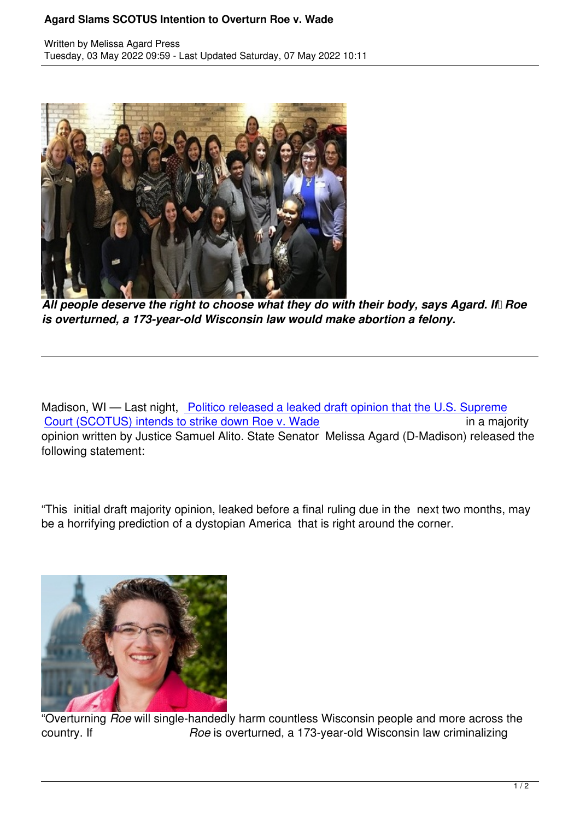

All people deserve the right to choose what they do with their body, says Agard. If Roe *is overturned, a 173-year-old Wisconsin law would make abortion a felony.*

Madison, WI — Last night, Politico released a leaked draft opinion that the U.S. Supreme Court (SCOTUS) intends to strike down Roe v. Wade in a majority opinion written by Justice Samuel Alito. State Senator Melissa Agard (D-Madison) released the following statement:

"This initial draft majority opinion, leaked before a final ruling due in the next two months, may be a horrifying prediction of a dystopian America that is right around the corner.



"Overturning *Roe* will single-handedly harm countless Wisconsin people and more across the country. If *Roe* is overturned, a 173-year-old Wisconsin law criminalizing